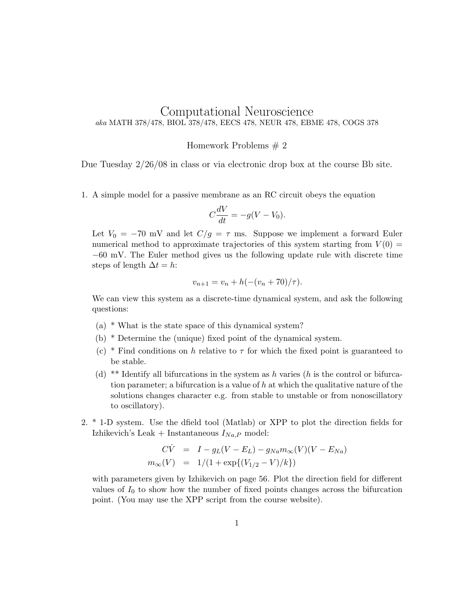## Computational Neuroscience aka MATH 378/478, BIOL 378/478, EECS 478, NEUR 478, EBME 478, COGS 378

## Homework Problems # 2

Due Tuesday 2/26/08 in class or via electronic drop box at the course Bb site.

1. A simple model for a passive membrane as an RC circuit obeys the equation

$$
C\frac{dV}{dt} = -g(V - V_0).
$$

Let  $V_0 = -70$  mV and let  $C/g = \tau$  ms. Suppose we implement a forward Euler numerical method to approximate trajectories of this system starting from  $V(0)$  = −60 mV. The Euler method gives us the following update rule with discrete time steps of length  $\Delta t = h$ :

$$
v_{n+1} = v_n + h(-(v_n + 70)/\tau).
$$

We can view this system as a discrete-time dynamical system, and ask the following questions:

- (a) \* What is the state space of this dynamical system?
- (b) \* Determine the (unique) fixed point of the dynamical system.
- (c) \* Find conditions on h relative to  $\tau$  for which the fixed point is guaranteed to be stable.
- (d) \*\* Identify all bifurcations in the system as h varies (h is the control or bifurcation parameter; a bifurcation is a value of  $h$  at which the qualitative nature of the solutions changes character e.g. from stable to unstable or from nonoscillatory to oscillatory).
- 2. \* 1-D system. Use the dfield tool (Matlab) or XPP to plot the direction fields for Izhikevich's Leak + Instantaneous  $I_{Na,P}$  model:

$$
\begin{array}{rcl}\n\dot{C}\dot{V} & = & I - g_L(V - E_L) - g_{Na}m_\infty(V)(V - E_{Na}) \\
m_\infty(V) & = & 1/(1 + \exp\{(V_{1/2} - V)/k\})\n\end{array}
$$

with parameters given by Izhikevich on page 56. Plot the direction field for different values of  $I_0$  to show how the number of fixed points changes across the bifurcation point. (You may use the XPP script from the course website).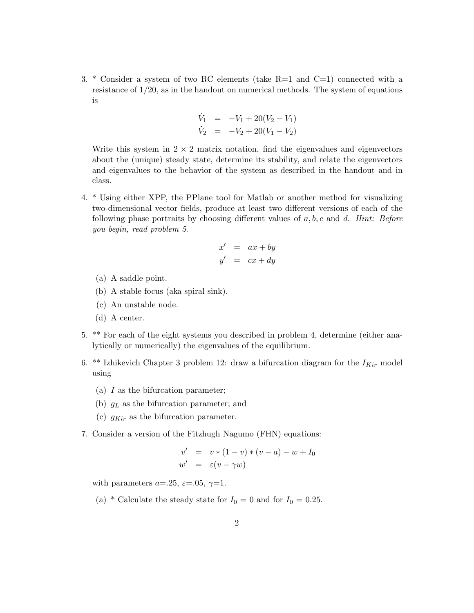3. \* Consider a system of two RC elements (take  $R=1$  and  $C=1$ ) connected with a resistance of  $1/20$ , as in the handout on numerical methods. The system of equations is

$$
\dot{V}_1 = -V_1 + 20(V_2 - V_1) \n\dot{V}_2 = -V_2 + 20(V_1 - V_2)
$$

Write this system in  $2 \times 2$  matrix notation, find the eigenvalues and eigenvectors about the (unique) steady state, determine its stability, and relate the eigenvectors and eigenvalues to the behavior of the system as described in the handout and in class.

4. \* Using either XPP, the PPlane tool for Matlab or another method for visualizing two-dimensional vector fields, produce at least two different versions of each of the following phase portraits by choosing different values of  $a, b, c$  and  $d$ . Hint: Before you begin, read problem 5.

$$
x' = ax + by
$$
  

$$
y' = cx + dy
$$

- (a) A saddle point.
- (b) A stable focus (aka spiral sink).
- (c) An unstable node.
- (d) A center.
- 5. \*\* For each of the eight systems you described in problem 4, determine (either analytically or numerically) the eigenvalues of the equilibrium.
- 6. \*\* Izhikevich Chapter 3 problem 12: draw a bifurcation diagram for the  $I_{Kir}$  model using
	- (a) I as the bifurcation parameter;
	- (b)  $g<sub>L</sub>$  as the bifurcation parameter; and
	- (c)  $g_{Kir}$  as the bifurcation parameter.
- 7. Consider a version of the Fitzhugh Nagumo (FHN) equations:

$$
v' = v * (1 - v) * (v - a) - w + I_0
$$
  

$$
w' = \varepsilon (v - \gamma w)
$$

with parameters  $a=25$ ,  $\varepsilon=0.05$ ,  $\gamma=1$ .

(a) \* Calculate the steady state for  $I_0 = 0$  and for  $I_0 = 0.25$ .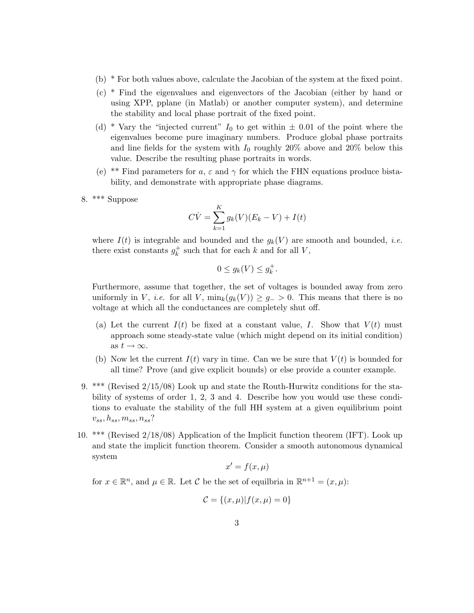- (b) \* For both values above, calculate the Jacobian of the system at the fixed point.
- (c) \* Find the eigenvalues and eigenvectors of the Jacobian (either by hand or using XPP, pplane (in Matlab) or another computer system), and determine the stability and local phase portrait of the fixed point.
- (d) \* Vary the "injected current"  $I_0$  to get within  $\pm$  0.01 of the point where the eigenvalues become pure imaginary numbers. Produce global phase portraits and line fields for the system with  $I_0$  roughly 20% above and 20% below this value. Describe the resulting phase portraits in words.
- (e) \*\* Find parameters for a,  $\varepsilon$  and  $\gamma$  for which the FHN equations produce bistability, and demonstrate with appropriate phase diagrams.
- 8. \*\*\* Suppose

$$
C\dot{V} = \sum_{k=1}^{K} g_k(V)(E_k - V) + I(t)
$$

where  $I(t)$  is integrable and bounded and the  $g_k(V)$  are smooth and bounded, *i.e.* there exist constants  $g_k^+$  $\frac{1}{k}$  such that for each k and for all V,

$$
0 \le g_k(V) \le g_k^+.
$$

Furthermore, assume that together, the set of voltages is bounded away from zero uniformly in V, i.e. for all V,  $\min_k(g_k(V)) \geq g_{-} > 0$ . This means that there is no voltage at which all the conductances are completely shut off.

- (a) Let the current  $I(t)$  be fixed at a constant value, I. Show that  $V(t)$  must approach some steady-state value (which might depend on its initial condition) as  $t \to \infty$ .
- (b) Now let the current  $I(t)$  vary in time. Can we be sure that  $V(t)$  is bounded for all time? Prove (and give explicit bounds) or else provide a counter example.
- 9. \*\*\* (Revised 2/15/08) Look up and state the Routh-Hurwitz conditions for the stability of systems of order 1, 2, 3 and 4. Describe how you would use these conditions to evaluate the stability of the full HH system at a given equilibrium point  $v_{ss}, h_{ss}, m_{ss}, n_{ss}$ ?
- 10. \*\*\* (Revised 2/18/08) Application of the Implicit function theorem (IFT). Look up and state the implicit function theorem. Consider a smooth autonomous dynamical system

$$
x' = f(x, \mu)
$$

for  $x \in \mathbb{R}^n$ , and  $\mu \in \mathbb{R}$ . Let C be the set of equilitia in  $\mathbb{R}^{n+1} = (x, \mu)$ :

$$
\mathcal{C} = \{(x,\mu)|f(x,\mu) = 0\}
$$